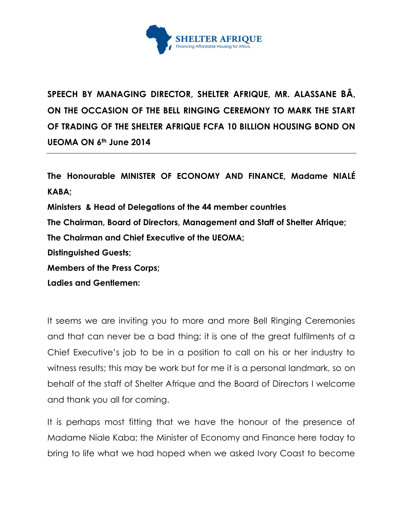

**SPEECH BY MANAGING DIRECTOR, SHELTER AFRIQUE, MR. ALASSANE BÂ, ON THE OCCASION OF THE BELL RINGING CEREMONY TO MARK THE START OF TRADING OF THE SHELTER AFRIQUE FCFA 10 BILLION HOUSING BOND ON UEOMA ON 6th June 2014**

**The Honourable MINISTER OF ECONOMY AND FINANCE, Madame NIALÉ KABA; Ministers & Head of Delegations of the 44 member countries The Chairman, Board of Directors, Management and Staff of Shelter Afrique; The Chairman and Chief Executive of the UEOMA; Distinguished Guests; Members of the Press Corps;**

**Ladies and Gentlemen:**

It seems we are inviting you to more and more Bell Ringing Ceremonies and that can never be a bad thing; it is one of the great fulfilments of a Chief Executive's job to be in a position to call on his or her industry to witness results; this may be work but for me it is a personal landmark, so on behalf of the staff of Shelter Afrique and the Board of Directors I welcome and thank you all for coming.

It is perhaps most fitting that we have the honour of the presence of Madame Niale Kaba; the Minister of Economy and Finance here today to bring to life what we had hoped when we asked Ivory Coast to become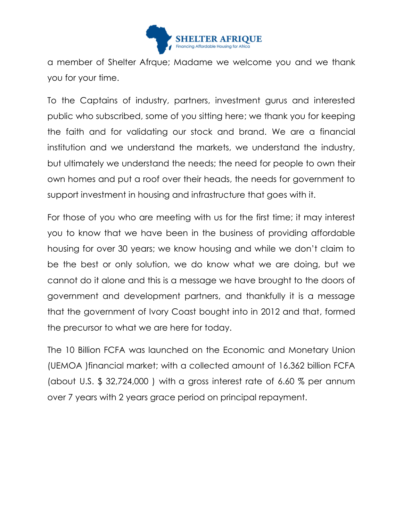

a member of Shelter Afrque; Madame we welcome you and we thank you for your time.

To the Captains of industry, partners, investment gurus and interested public who subscribed, some of you sitting here; we thank you for keeping the faith and for validating our stock and brand. We are a financial institution and we understand the markets, we understand the industry, but ultimately we understand the needs; the need for people to own their own homes and put a roof over their heads, the needs for government to support investment in housing and infrastructure that goes with it.

For those of you who are meeting with us for the first time; it may interest you to know that we have been in the business of providing affordable housing for over 30 years; we know housing and while we don't claim to be the best or only solution, we do know what we are doing, but we cannot do it alone and this is a message we have brought to the doors of government and development partners, and thankfully it is a message that the government of Ivory Coast bought into in 2012 and that, formed the precursor to what we are here for today.

The 10 Billion FCFA was launched on the Economic and Monetary Union (UEMOA )financial market; with a collected amount of 16.362 billion FCFA (about U.S. \$ 32,724,000 ) with a gross interest rate of 6.60 % per annum over 7 years with 2 years grace period on principal repayment.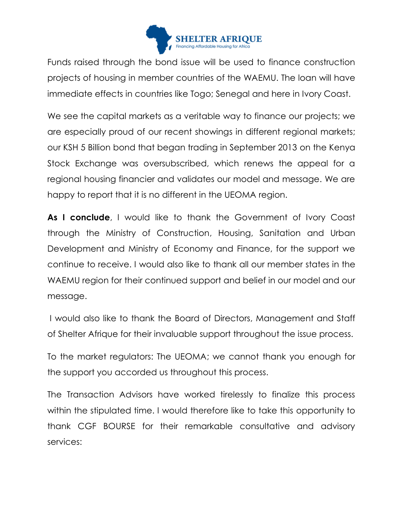

Funds raised through the bond issue will be used to finance construction projects of housing in member countries of the WAEMU. The loan will have immediate effects in countries like Togo; Senegal and here in Ivory Coast.

We see the capital markets as a veritable way to finance our projects; we are especially proud of our recent showings in different regional markets; our KSH 5 Billion bond that began trading in September 2013 on the Kenya Stock Exchange was oversubscribed, which renews the appeal for a regional housing financier and validates our model and message. We are happy to report that it is no different in the UEOMA region.

**As I conclude**, I would like to thank the Government of Ivory Coast through the Ministry of Construction, Housing, Sanitation and Urban Development and Ministry of Economy and Finance, for the support we continue to receive. I would also like to thank all our member states in the WAEMU region for their continued support and belief in our model and our message.

I would also like to thank the Board of Directors, Management and Staff of Shelter Afrique for their invaluable support throughout the issue process.

To the market regulators: The UEOMA; we cannot thank you enough for the support you accorded us throughout this process.

The Transaction Advisors have worked tirelessly to finalize this process within the stipulated time. I would therefore like to take this opportunity to thank CGF BOURSE for their remarkable consultative and advisory services: